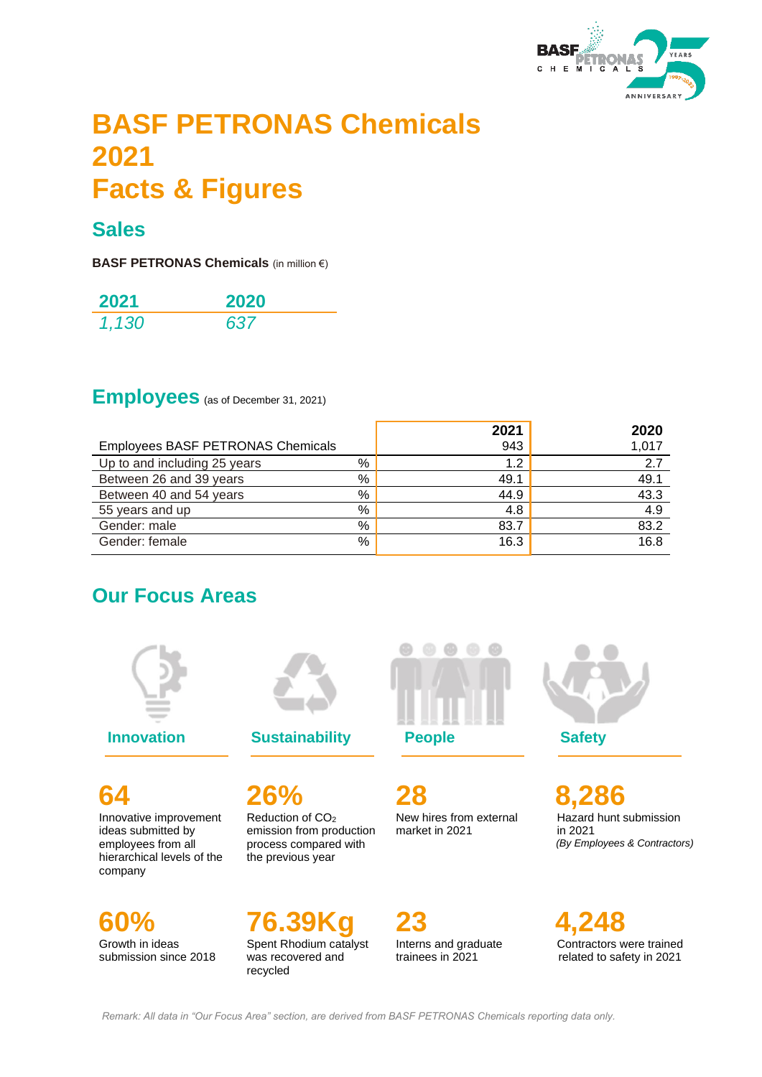

# **BASF PETRONAS Chemicals 2021 Facts & Figures**

### **Sales**

**BASF PETRONAS Chemicals** (in million €)

| 2021  | 2020 |
|-------|------|
| 1,130 | 637  |

### **Employees** (as of December 31, 2021)

|                                          |   | 2021 | 2020  |
|------------------------------------------|---|------|-------|
| <b>Employees BASF PETRONAS Chemicals</b> |   | 943  | 1,017 |
| Up to and including 25 years             | % | 1.2  | 2.7   |
| Between 26 and 39 years                  | % | 49.1 | 49.1  |
| Between 40 and 54 years                  | % | 44.9 | 43.3  |
| 55 years and up                          | % | 4.8  | 4.9   |
| Gender: male                             | % | 83.7 | 83.2  |
| Gender: female                           | % | 16.3 | 16.8  |
|                                          |   |      |       |

### **Our Focus Areas**



**64** Innovative improvement ideas submitted by employees from all hierarchical levels of the company

**60%** Growth in ideas submission since 2018

**Innovation Sustainability People Safety** 

**26%** Reduction of CO<sup>2</sup> emission from production process compared with the previous year

**76.39Kg** Spent Rhodium catalyst was recovered and recycled



**28** New hires from external market in 2021

**23** Interns and graduate trainees in 2021



**8,286** Hazard hunt submission in 2021  *(By Employees & Contractors)* 

**4,248** Contractors were trained related to safety in 2021

*Remark: All data in "Our Focus Area" section, are derived from BASF PETRONAS Chemicals reporting data only.*